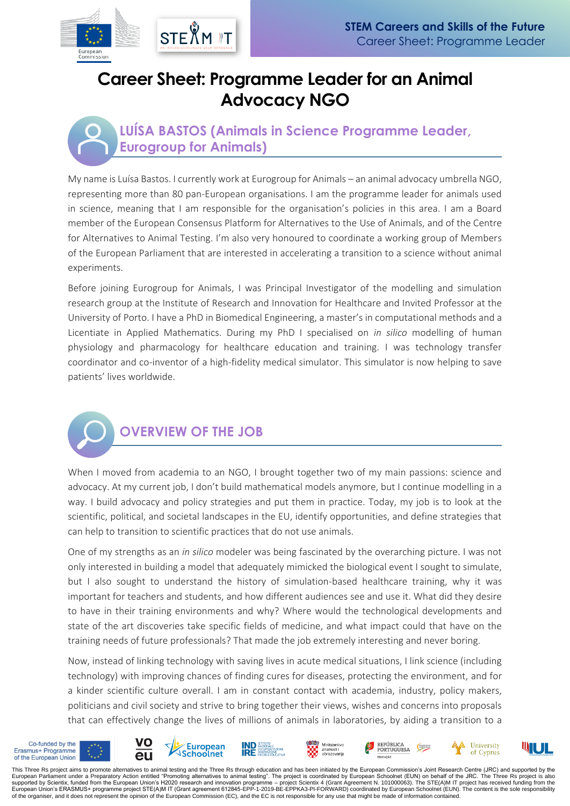## **Career Sheet: Programme Leader for an Animal Advocacy NGO**

#### **LUÍSA BASTOS (Animals in Science Programme Leader, Eurogroup for Animals)**

My name is Luísa Bastos. I currently work at Eurogroup for Animals – an animal advocacy umbrella NGO, representing more than 80 pan-European organisations. I am the programme leader for animals used in science, meaning that I am responsible for the organisation's policies in this area. I am a Board member of the European Consensus Platform for Alternatives to the Use of Animals, and of the Centre for Alternatives to Animal Testing. I'm also very honoured to coordinate a working group of Members of the European Parliament that are interested in accelerating a transition to a science without animal experiments.

Before joining Eurogroup for Animals, I was Principal Investigator of the modelling and simulation research group at the Institute of Research and Innovation for Healthcare and Invited Professor at the University of Porto. I have a PhD in Biomedical Engineering, a master's in computational methods and a Licentiate in Applied Mathematics. During my PhD I specialised on *in silico* modelling of human physiology and pharmacology for healthcare education and training. I was technology transfer coordinator and co-inventor of a high-fidelity medical simulator. This simulator is now helping to save patients' lives worldwide.



## **OVERVIEW OF THE JOB**

When I moved from academia to an NGO, I brought together two of my main passions: science and advocacy. At my current job, I don't build mathematical models anymore, but I continue modelling in a way. I build advocacy and policy strategies and put them in practice. Today, my job is to look at the scientific, political, and societal landscapes in the EU, identify opportunities, and define strategies that can help to transition to scientific practices that do not use animals.

One of my strengths as an *in silico* modeler was being fascinated by the overarching picture. I was not only interested in building a model that adequately mimicked the biological event I sought to simulate, but I also sought to understand the history of simulation-based healthcare training, why it was important for teachers and students, and how different audiences see and use it. What did they desire to have in their training environments and why? Where would the technological developments and state of the art discoveries take specific fields of medicine, and what impact could that have on the training needs of future professionals? That made the job extremely interesting and never boring.

Now, instead of linking technology with saving lives in acute medical situations, I link science (including technology) with improving chances of finding cures for diseases, protecting the environment, and for a kinder scientific culture overall. I am in constant contact with academia, industry, policy makers, politicians and civil society and strive to bring together their views, wishes and concerns into proposals that can effectively change the lives of millions of animals in laboratories, by aiding a transition to a



This Three Rs project aims to promote alternatives to animal testing and the Three Rs through education and has been initiated by the European Commission's Joint Research Centre (JRC) and supported by the<br>European Parliame supported by Scientix, funded from the European Union's H2020 research and innovation programme – project Scientix 4 (Grant Agreement N. 101000063). The STE(A)M IT project has received funding from the<br>European Union's ERA of the organiser, and it does not represent the opinion of the European Commission (EC), and the EC is not responsible for any use that might be made of information contained.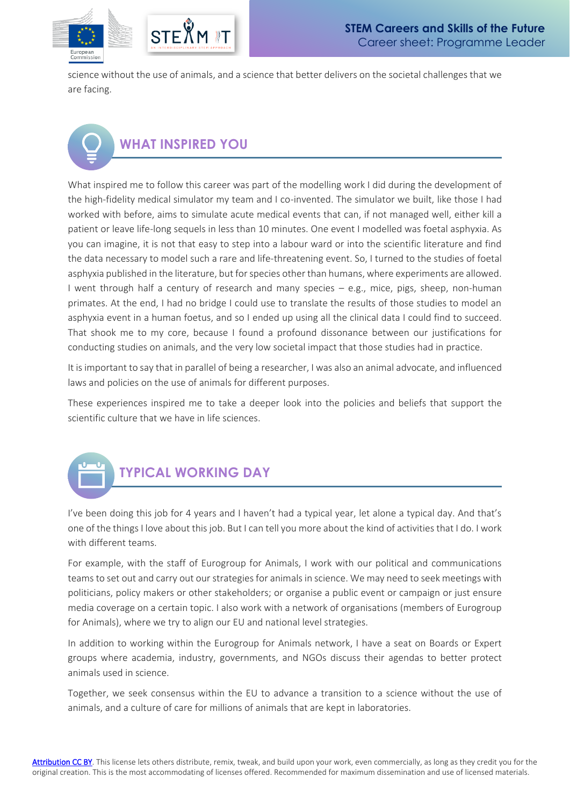

science without the use of animals, and a science that better delivers on the societal challenges that we are facing.

# **WHAT INSPIRED YOU**

What inspired me to follow this career was part of the modelling work I did during the development of the high-fidelity medical simulator my team and I co-invented. The simulator we built, like those I had worked with before, aims to simulate acute medical events that can, if not managed well, either kill a patient or leave life-long sequels in less than 10 minutes. One event I modelled was foetal asphyxia. As you can imagine, it is not that easy to step into a labour ward or into the scientific literature and find the data necessary to model such a rare and life-threatening event. So, I turned to the studies of foetal asphyxia published in the literature, but for species other than humans, where experiments are allowed. I went through half a century of research and many species – e.g., mice, pigs, sheep, non-human primates. At the end, I had no bridge I could use to translate the results of those studies to model an asphyxia event in a human foetus, and so I ended up using all the clinical data I could find to succeed. That shook me to my core, because I found a profound dissonance between our justifications for conducting studies on animals, and the very low societal impact that those studies had in practice.

It is important to say that in parallel of being a researcher, I was also an animal advocate, and influenced laws and policies on the use of animals for different purposes.

These experiences inspired me to take a deeper look into the policies and beliefs that support the scientific culture that we have in life sciences.



I've been doing this job for 4 years and I haven't had a typical year, let alone a typical day. And that's one of the things I love about this job. But I can tell you more about the kind of activities that I do. I work with different teams.

For example, with the staff of Eurogroup for Animals, I work with our political and communications teams to set out and carry out our strategies for animals in science. We may need to seek meetings with politicians, policy makers or other stakeholders; or organise a public event or campaign or just ensure media coverage on a certain topic. I also work with a network of organisations (members of Eurogroup for Animals), where we try to align our EU and national level strategies.

In addition to working within the Eurogroup for Animals network, I have a seat on Boards or Expert groups where academia, industry, governments, and NGOs discuss their agendas to better protect animals used in science.

Together, we seek consensus within the EU to advance a transition to a science without the use of animals, and a culture of care for millions of animals that are kept in laboratories.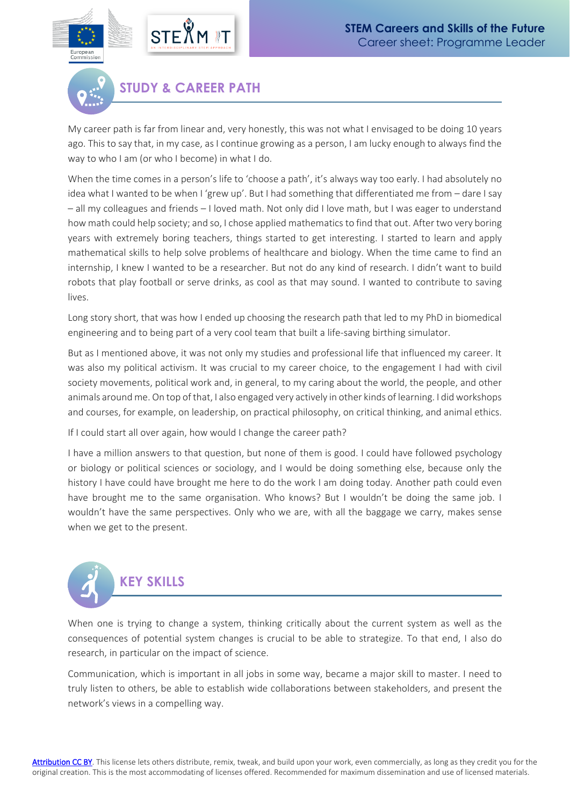

**STUDY & CAREER PATH**

My career path is far from linear and, very honestly, this was not what I envisaged to be doing 10 years ago. This to say that, in my case, as I continue growing as a person, I am lucky enough to always find the way to who I am (or who I become) in what I do.

When the time comes in a person's life to 'choose a path', it's always way too early. I had absolutely no idea what I wanted to be when I 'grew up'. But I had something that differentiated me from - dare I say – all my colleagues and friends – I loved math. Not only did I love math, but I was eager to understand how math could help society; and so, I chose applied mathematics to find that out. After two very boring years with extremely boring teachers, things started to get interesting. I started to learn and apply mathematical skills to help solve problems of healthcare and biology. When the time came to find an internship, I knew I wanted to be a researcher. But not do any kind of research. I didn't want to build robots that play football or serve drinks, as cool as that may sound. I wanted to contribute to saving lives.

Long story short, that was how I ended up choosing the research path that led to my PhD in biomedical engineering and to being part of a very cool team that built a life-saving birthing simulator.

But as I mentioned above, it was not only my studies and professional life that influenced my career. It was also my political activism. It was crucial to my career choice, to the engagement I had with civil society movements, political work and, in general, to my caring about the world, the people, and other animals around me. On top of that, I also engaged very actively in other kinds of learning. I did workshops and courses, for example, on leadership, on practical philosophy, on critical thinking, and animal ethics.

If I could start all over again, how would I change the career path?

I have a million answers to that question, but none of them is good. I could have followed psychology or biology or political sciences or sociology, and I would be doing something else, because only the history I have could have brought me here to do the work I am doing today. Another path could even have brought me to the same organisation. Who knows? But I wouldn't be doing the same job. I wouldn't have the same perspectives. Only who we are, with all the baggage we carry, makes sense when we get to the present.



When one is trying to change a system, thinking critically about the current system as well as the consequences of potential system changes is crucial to be able to strategize. To that end, I also do research, in particular on the impact of science.

Communication, which is important in all jobs in some way, became a major skill to master. I need to truly listen to others, be able to establish wide collaborations between stakeholders, and present the network's views in a compelling way.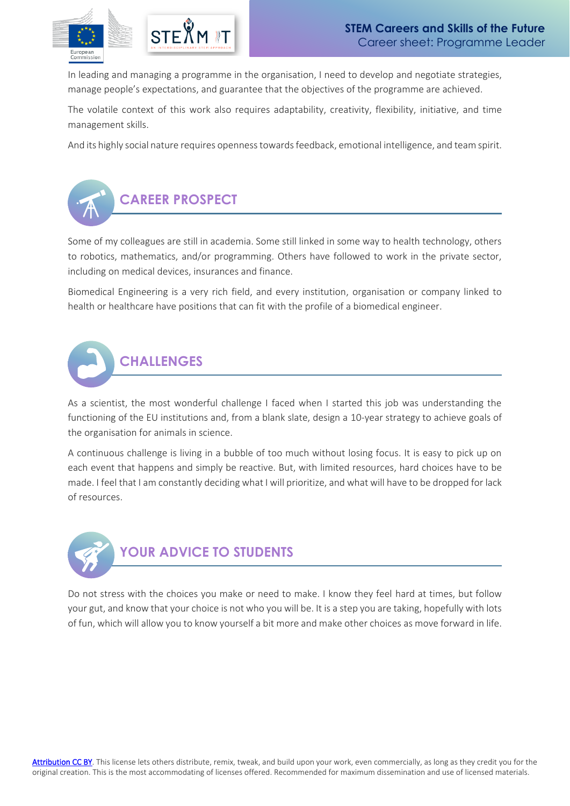

In leading and managing a programme in the organisation, I need to develop and negotiate strategies, manage people's expectations, and guarantee that the objectives of the programme are achieved.

The volatile context of this work also requires adaptability, creativity, flexibility, initiative, and time management skills.

And its highly social nature requires opennesstowards feedback, emotional intelligence, and team spirit.



Some of my colleagues are still in academia. Some still linked in some way to health technology, others to robotics, mathematics, and/or programming. Others have followed to work in the private sector, including on medical devices, insurances and finance.

Biomedical Engineering is a very rich field, and every institution, organisation or company linked to health or healthcare have positions that can fit with the profile of a biomedical engineer.



As a scientist, the most wonderful challenge I faced when I started this job was understanding the functioning of the EU institutions and, from a blank slate, design a 10-year strategy to achieve goals of the organisation for animals in science.

A continuous challenge is living in a bubble of too much without losing focus. It is easy to pick up on each event that happens and simply be reactive. But, with limited resources, hard choices have to be made. I feel that I am constantly deciding what I will prioritize, and what will have to be dropped for lack of resources.



Do not stress with the choices you make or need to make. I know they feel hard at times, but follow your gut, and know that your choice is not who you will be. It is a step you are taking, hopefully with lots of fun, which will allow you to know yourself a bit more and make other choices as move forward in life.